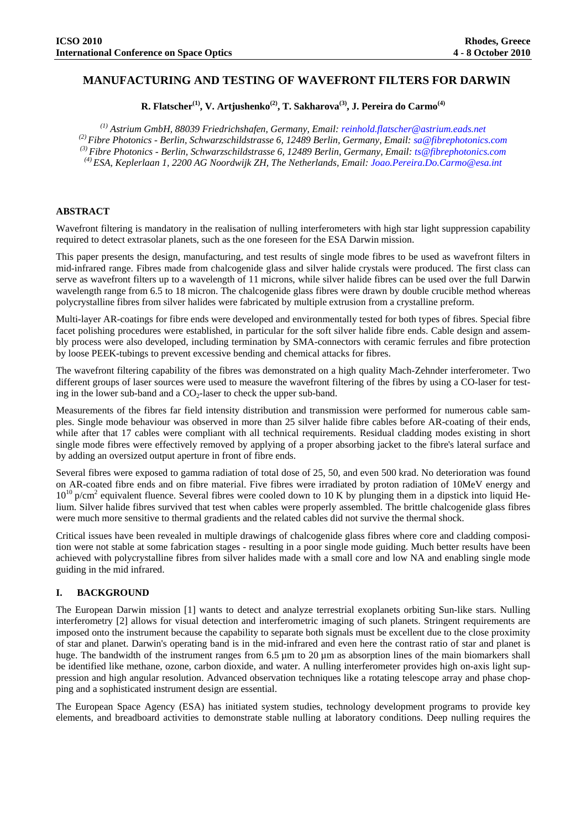# **MANUFACTURING AND TESTING OF WAVEFRONT FILTERS FOR DARWIN**

**R. Flatscher(1), V. Artjushenko(2), T. Sakharova(3), J. Pereira do Carmo(4)**

*(1) Astrium GmbH, 88039 Friedrichshafen, Germany, Email: reinhold.flatscher@astrium.eads.net (2) Fibre Photonics - Berlin, Schwarzschildstrasse 6, 12489 Berlin, Germany, Email: sa@fibrephotonics.com (3) Fibre Photonics - Berlin, Schwarzschildstrasse 6, 12489 Berlin, Germany, Email: ts@fibrephotonics.com (4) ESA, Keplerlaan 1, 2200 AG Noordwijk ZH, The Netherlands, Email: Joao.Pereira.Do.Carmo@esa.int*

## **ABSTRACT**

Wavefront filtering is mandatory in the realisation of nulling interferometers with high star light suppression capability required to detect extrasolar planets, such as the one foreseen for the ESA Darwin mission.

This paper presents the design, manufacturing, and test results of single mode fibres to be used as wavefront filters in mid-infrared range. Fibres made from chalcogenide glass and silver halide crystals were produced. The first class can serve as wavefront filters up to a wavelength of 11 microns, while silver halide fibres can be used over the full Darwin wavelength range from 6.5 to 18 micron. The chalcogenide glass fibres were drawn by double crucible method whereas polycrystalline fibres from silver halides were fabricated by multiple extrusion from a crystalline preform.

Multi-layer AR-coatings for fibre ends were developed and environmentally tested for both types of fibres. Special fibre facet polishing procedures were established, in particular for the soft silver halide fibre ends. Cable design and assembly process were also developed, including termination by SMA-connectors with ceramic ferrules and fibre protection by loose PEEK-tubings to prevent excessive bending and chemical attacks for fibres.

The wavefront filtering capability of the fibres was demonstrated on a high quality Mach-Zehnder interferometer. Two different groups of laser sources were used to measure the wavefront filtering of the fibres by using a CO-laser for testing in the lower sub-band and a  $CO<sub>2</sub>$ -laser to check the upper sub-band.

Measurements of the fibres far field intensity distribution and transmission were performed for numerous cable samples. Single mode behaviour was observed in more than 25 silver halide fibre cables before AR-coating of their ends, while after that 17 cables were compliant with all technical requirements. Residual cladding modes existing in short single mode fibres were effectively removed by applying of a proper absorbing jacket to the fibre's lateral surface and by adding an oversized output aperture in front of fibre ends.

Several fibres were exposed to gamma radiation of total dose of 25, 50, and even 500 krad. No deterioration was found on AR-coated fibre ends and on fibre material. Five fibres were irradiated by proton radiation of 10MeV energy and 10<sup>10</sup> p/cm<sup>2</sup> equivalent fluence. Several fibres were cooled down to 10 K by plunging them in a dipstick into liquid Helium. Silver halide fibres survived that test when cables were properly assembled. The brittle chalcogenide glass fibres were much more sensitive to thermal gradients and the related cables did not survive the thermal shock.

Critical issues have been revealed in multiple drawings of chalcogenide glass fibres where core and cladding composition were not stable at some fabrication stages - resulting in a poor single mode guiding. Much better results have been achieved with polycrystalline fibres from silver halides made with a small core and low NA and enabling single mode guiding in the mid infrared.

#### **I. BACKGROUND**

The European Darwin mission [1] wants to detect and analyze terrestrial exoplanets orbiting Sun-like stars. Nulling interferometry [2] allows for visual detection and interferometric imaging of such planets. Stringent requirements are imposed onto the instrument because the capability to separate both signals must be excellent due to the close proximity of star and planet. Darwin's operating band is in the mid-infrared and even here the contrast ratio of star and planet is huge. The bandwidth of the instrument ranges from 6.5 µm to 20 µm as absorption lines of the main biomarkers shall be identified like methane, ozone, carbon dioxide, and water. A nulling interferometer provides high on-axis light suppression and high angular resolution. Advanced observation techniques like a rotating telescope array and phase chopping and a sophisticated instrument design are essential.

The European Space Agency (ESA) has initiated system studies, technology development programs to provide key elements, and breadboard activities to demonstrate stable nulling at laboratory conditions. Deep nulling requires the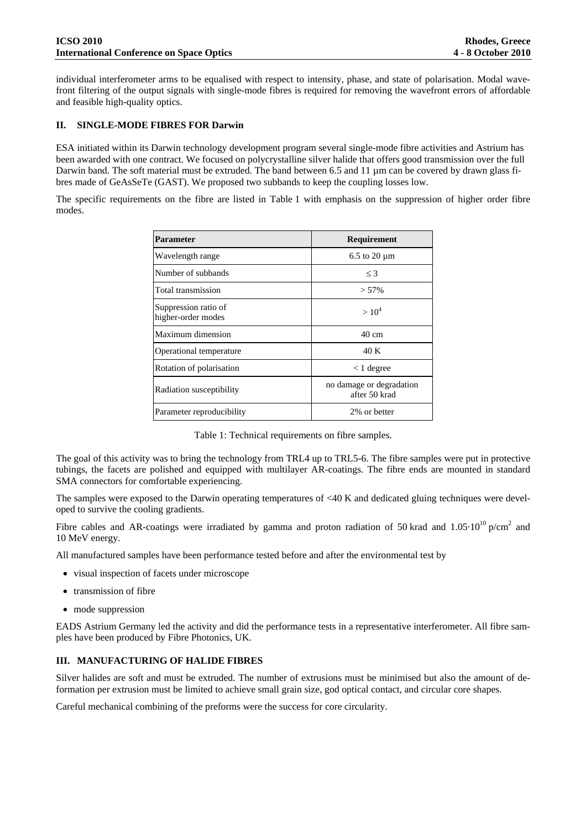individual interferometer arms to be equalised with respect to intensity, phase, and state of polarisation. Modal wavefront filtering of the output signals with single-mode fibres is required for removing the wavefront errors of affordable and feasible high-quality optics.

#### **II. SINGLE-MODE FIBRES FOR Darwin**

ESA initiated within its Darwin technology development program several single-mode fibre activities and Astrium has been awarded with one contract. We focused on polycrystalline silver halide that offers good transmission over the full Darwin band. The soft material must be extruded. The band between 6.5 and 11  $\mu$ m can be covered by drawn glass fibres made of GeAsSeTe (GAST). We proposed two subbands to keep the coupling losses low.

The specific requirements on the fibre are listed in Table 1 with emphasis on the suppression of higher order fibre modes.

| <b>Parameter</b>                           | Requirement                               |  |
|--------------------------------------------|-------------------------------------------|--|
| Wavelength range                           | $6.5$ to $20 \mu m$                       |  |
| Number of subbands                         | $\leq$ 3                                  |  |
| Total transmission                         | $> 57\%$                                  |  |
| Suppression ratio of<br>higher-order modes | $> 10^4$                                  |  |
| Maximum dimension                          | $40 \text{ cm}$                           |  |
| Operational temperature                    | 40 K                                      |  |
| Rotation of polarisation                   | $< 1$ degree                              |  |
| Radiation susceptibility                   | no damage or degradation<br>after 50 krad |  |
| Parameter reproducibility                  | 2% or better                              |  |

Table 1: Technical requirements on fibre samples.

The goal of this activity was to bring the technology from TRL4 up to TRL5-6. The fibre samples were put in protective tubings, the facets are polished and equipped with multilayer AR-coatings. The fibre ends are mounted in standard SMA connectors for comfortable experiencing.

The samples were exposed to the Darwin operating temperatures of <40 K and dedicated gluing techniques were developed to survive the cooling gradients.

Fibre cables and AR-coatings were irradiated by gamma and proton radiation of 50 krad and  $1.05 \cdot 10^{10}$  p/cm<sup>2</sup> and 10 MeV energy.

All manufactured samples have been performance tested before and after the environmental test by

- visual inspection of facets under microscope
- transmission of fibre
- mode suppression

EADS Astrium Germany led the activity and did the performance tests in a representative interferometer. All fibre samples have been produced by Fibre Photonics, UK.

## **III. MANUFACTURING OF HALIDE FIBRES**

Silver halides are soft and must be extruded. The number of extrusions must be minimised but also the amount of deformation per extrusion must be limited to achieve small grain size, god optical contact, and circular core shapes.

Careful mechanical combining of the preforms were the success for core circularity.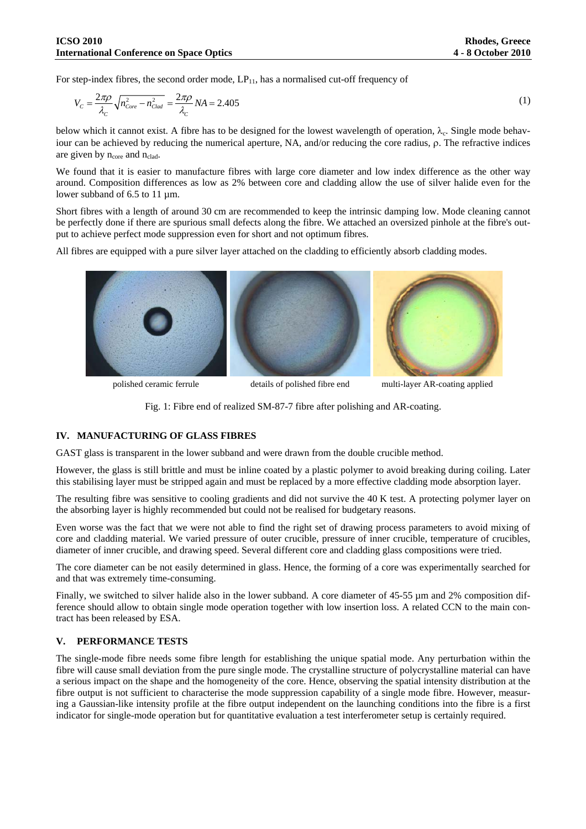For step-index fibres, the second order mode,  $LP_{11}$ , has a normalised cut-off frequency of

$$
V_C = \frac{2\pi\rho}{\lambda_C} \sqrt{n_{core}^2 - n_{clad}^2} = \frac{2\pi\rho}{\lambda_C} NA = 2.405
$$
\n<sup>(1)</sup>

below which it cannot exist. A fibre has to be designed for the lowest wavelength of operation,  $\lambda_c$ . Single mode behaviour can be achieved by reducing the numerical aperture, NA, and/or reducing the core radius,  $\rho$ . The refractive indices are given by  $n_{core}$  and  $n_{clad}$ .

We found that it is easier to manufacture fibres with large core diameter and low index difference as the other way around. Composition differences as low as 2% between core and cladding allow the use of silver halide even for the lower subband of 6.5 to 11  $\mu$ m.

Short fibres with a length of around 30 cm are recommended to keep the intrinsic damping low. Mode cleaning cannot be perfectly done if there are spurious small defects along the fibre. We attached an oversized pinhole at the fibre's output to achieve perfect mode suppression even for short and not optimum fibres.

All fibres are equipped with a pure silver layer attached on the cladding to efficiently absorb cladding modes.



polished ceramic ferrule details of polished fibre end multi-layer AR-coating applied



#### **IV. MANUFACTURING OF GLASS FIBRES**

GAST glass is transparent in the lower subband and were drawn from the double crucible method.

However, the glass is still brittle and must be inline coated by a plastic polymer to avoid breaking during coiling. Later this stabilising layer must be stripped again and must be replaced by a more effective cladding mode absorption layer.

The resulting fibre was sensitive to cooling gradients and did not survive the 40 K test. A protecting polymer layer on the absorbing layer is highly recommended but could not be realised for budgetary reasons.

Even worse was the fact that we were not able to find the right set of drawing process parameters to avoid mixing of core and cladding material. We varied pressure of outer crucible, pressure of inner crucible, temperature of crucibles, diameter of inner crucible, and drawing speed. Several different core and cladding glass compositions were tried.

The core diameter can be not easily determined in glass. Hence, the forming of a core was experimentally searched for and that was extremely time-consuming.

Finally, we switched to silver halide also in the lower subband. A core diameter of 45-55  $\mu$ m and 2% composition difference should allow to obtain single mode operation together with low insertion loss. A related CCN to the main contract has been released by ESA.

#### **V. PERFORMANCE TESTS**

The single-mode fibre needs some fibre length for establishing the unique spatial mode. Any perturbation within the fibre will cause small deviation from the pure single mode. The crystalline structure of polycrystalline material can have a serious impact on the shape and the homogeneity of the core. Hence, observing the spatial intensity distribution at the fibre output is not sufficient to characterise the mode suppression capability of a single mode fibre. However, measuring a Gaussian-like intensity profile at the fibre output independent on the launching conditions into the fibre is a first indicator for single-mode operation but for quantitative evaluation a test interferometer setup is certainly required.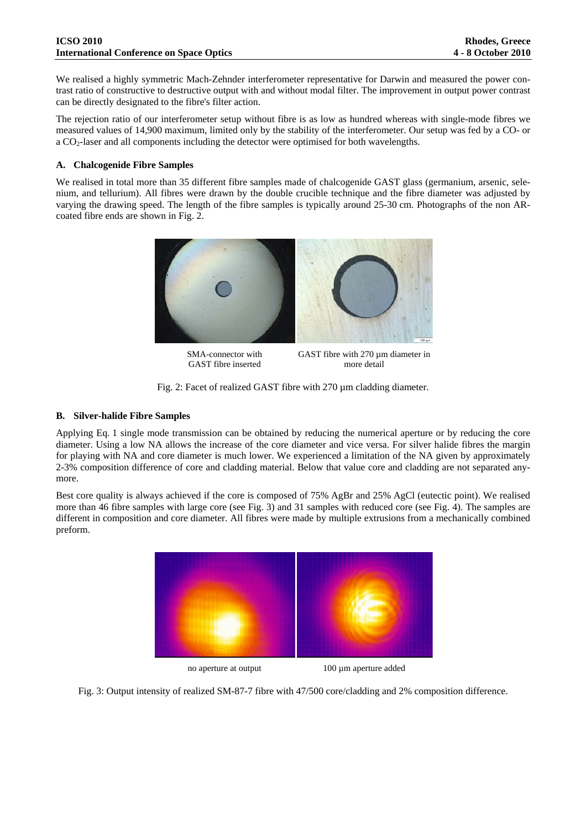We realised a highly symmetric Mach-Zehnder interferometer representative for Darwin and measured the power contrast ratio of constructive to destructive output with and without modal filter. The improvement in output power contrast can be directly designated to the fibre's filter action.

The rejection ratio of our interferometer setup without fibre is as low as hundred whereas with single-mode fibres we measured values of 14,900 maximum, limited only by the stability of the interferometer. Our setup was fed by a CO- or a CO<sub>2</sub>-laser and all components including the detector were optimised for both wavelengths.

### **A. Chalcogenide Fibre Samples**

We realised in total more than 35 different fibre samples made of chalcogenide GAST glass (germanium, arsenic, selenium, and tellurium). All fibres were drawn by the double crucible technique and the fibre diameter was adjusted by varying the drawing speed. The length of the fibre samples is typically around 25-30 cm. Photographs of the non ARcoated fibre ends are shown in Fig. 2.



SMA-connector with GAST fibre inserted

GAST fibre with 270  $\mu$ m diameter in more detail

Fig. 2: Facet of realized GAST fibre with 270 µm cladding diameter.

### **B. Silver-halide Fibre Samples**

Applying Eq. 1 single mode transmission can be obtained by reducing the numerical aperture or by reducing the core diameter. Using a low NA allows the increase of the core diameter and vice versa. For silver halide fibres the margin for playing with NA and core diameter is much lower. We experienced a limitation of the NA given by approximately 2-3% composition difference of core and cladding material. Below that value core and cladding are not separated anymore.

Best core quality is always achieved if the core is composed of 75% AgBr and 25% AgCl (eutectic point). We realised more than 46 fibre samples with large core (see Fig. 3) and 31 samples with reduced core (see Fig. 4). The samples are different in composition and core diameter. All fibres were made by multiple extrusions from a mechanically combined preform.



no aperture at output 100 µm aperture added

Fig. 3: Output intensity of realized SM-87-7 fibre with 47/500 core/cladding and 2% composition difference.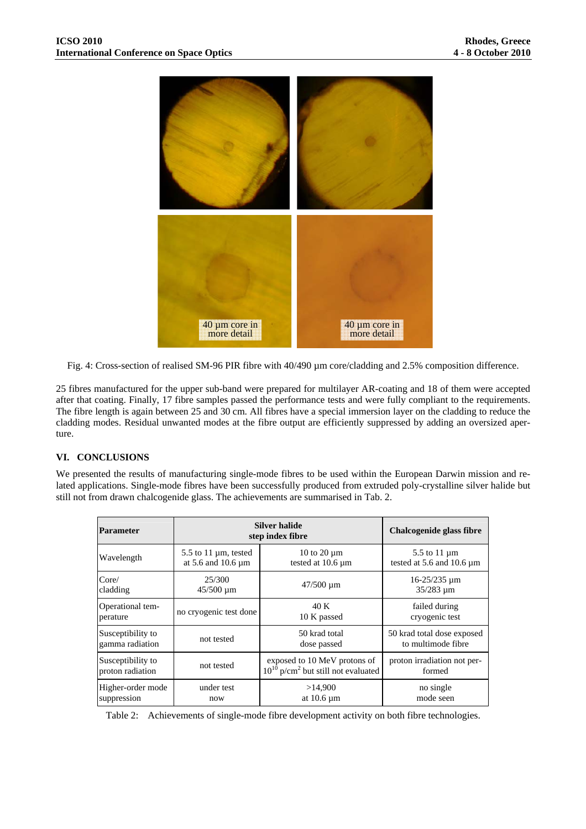

Fig. 4: Cross-section of realised SM-96 PIR fibre with 40/490 µm core/cladding and 2.5% composition difference.

25 fibres manufactured for the upper sub-band were prepared for multilayer AR-coating and 18 of them were accepted after that coating. Finally, 17 fibre samples passed the performance tests and were fully compliant to the requirements. The fibre length is again between 25 and 30 cm. All fibres have a special immersion layer on the cladding to reduce the cladding modes. Residual unwanted modes at the fibre output are efficiently suppressed by adding an oversized aperture.

## **VI. CONCLUSIONS**

We presented the results of manufacturing single-mode fibres to be used within the European Darwin mission and related applications. Single-mode fibres have been successfully produced from extruded poly-crystalline silver halide but still not from drawn chalcogenide glass. The achievements are summarised in Tab. 2.

| <b>Parameter</b>  | Silver halide<br>step index fibre |                                                     | Chalcogenide glass fibre    |
|-------------------|-----------------------------------|-----------------------------------------------------|-----------------------------|
| Wavelength        | 5.5 to 11 $\mu$ m, tested         | 10 to 20 $\mu$ m                                    | 5.5 to 11 µm                |
|                   | at $5.6$ and $10.6 \mu m$         | tested at 10.6 µm                                   | tested at 5.6 and 10.6 µm   |
| Core/             | 25/300                            | $47/500 \mu m$                                      | $16 - 25/235$ um            |
| cladding          | $45/500 \mu m$                    |                                                     | $35/283 \mu m$              |
| Operational tem-  | no cryogenic test done            | 40 K                                                | failed during               |
| perature          |                                   | 10 K passed                                         | cryogenic test              |
| Susceptibility to | not tested                        | 50 krad total                                       | 50 krad total dose exposed  |
| gamma radiation   |                                   | dose passed                                         | to multimode fibre          |
| Susceptibility to | not tested                        | exposed to 10 MeV protons of                        | proton irradiation not per- |
| proton radiation  |                                   | $10^{10}$ p/cm <sup>2</sup> but still not evaluated | formed                      |
| Higher-order mode | under test                        | >14,900                                             | no single                   |
| suppression       | now                               | at $10.6 \mu m$                                     | mode seen                   |

Table 2: Achievements of single-mode fibre development activity on both fibre technologies.